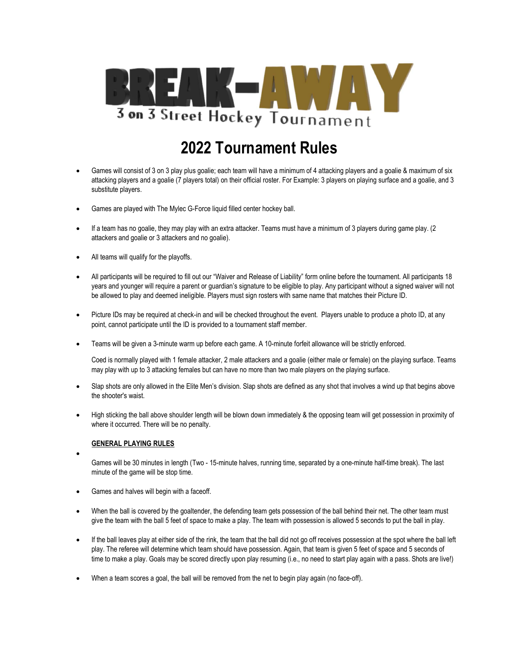

# 2022 Tournament Rules

- Games will consist of 3 on 3 play plus goalie; each team will have a minimum of 4 attacking players and a goalie & maximum of six attacking players and a goalie (7 players total) on their official roster. For Example: 3 players on playing surface and a goalie, and 3 substitute players.
- Games are played with The Mylec G-Force liquid filled center hockey ball.
- If a team has no goalie, they may play with an extra attacker. Teams must have a minimum of 3 players during game play. (2 attackers and goalie or 3 attackers and no goalie).
- All teams will qualify for the playoffs.
- All participants will be required to fill out our "Waiver and Release of Liability" form online before the tournament. All participants 18 years and younger will require a parent or guardian's signature to be eligible to play. Any participant without a signed waiver will not be allowed to play and deemed ineligible. Players must sign rosters with same name that matches their Picture ID.
- Picture IDs may be required at check-in and will be checked throughout the event. Players unable to produce a photo ID, at any point, cannot participate until the ID is provided to a tournament staff member.
- Teams will be given a 3-minute warm up before each game. A 10-minute forfeit allowance will be strictly enforced.

Coed is normally played with 1 female attacker, 2 male attackers and a goalie (either male or female) on the playing surface. Teams may play with up to 3 attacking females but can have no more than two male players on the playing surface.

- Slap shots are only allowed in the Elite Men's division. Slap shots are defined as any shot that involves a wind up that begins above the shooter's waist.
- High sticking the ball above shoulder length will be blown down immediately & the opposing team will get possession in proximity of where it occurred. There will be no penalty.

## GENERAL PLAYING RULES

- $\bullet$ Games will be 30 minutes in length (Two - 15-minute halves, running time, separated by a one-minute half-time break). The last minute of the game will be stop time.
- Games and halves will begin with a faceoff.
- When the ball is covered by the goaltender, the defending team gets possession of the ball behind their net. The other team must give the team with the ball 5 feet of space to make a play. The team with possession is allowed 5 seconds to put the ball in play.
- If the ball leaves play at either side of the rink, the team that the ball did not go off receives possession at the spot where the ball left play. The referee will determine which team should have possession. Again, that team is given 5 feet of space and 5 seconds of time to make a play. Goals may be scored directly upon play resuming (i.e., no need to start play again with a pass. Shots are live!)
- When a team scores a goal, the ball will be removed from the net to begin play again (no face-off).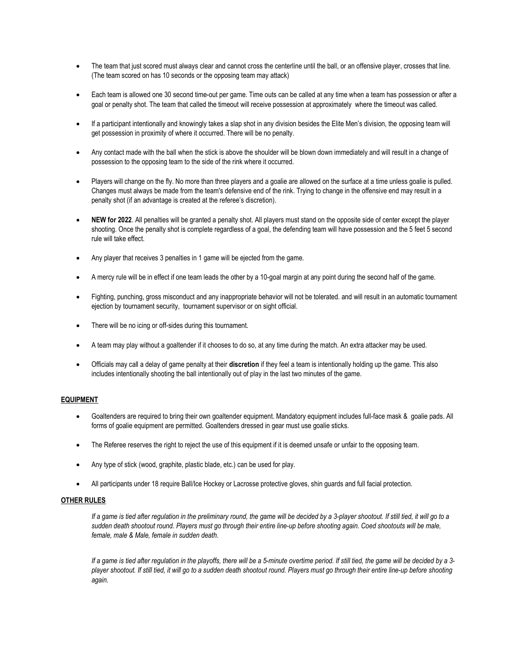- The team that just scored must always clear and cannot cross the centerline until the ball, or an offensive player, crosses that line. (The team scored on has 10 seconds or the opposing team may attack)
- Each team is allowed one 30 second time-out per game. Time outs can be called at any time when a team has possession or after a goal or penalty shot. The team that called the timeout will receive possession at approximately where the timeout was called.
- If a participant intentionally and knowingly takes a slap shot in any division besides the Elite Men's division, the opposing team will get possession in proximity of where it occurred. There will be no penalty.
- Any contact made with the ball when the stick is above the shoulder will be blown down immediately and will result in a change of possession to the opposing team to the side of the rink where it occurred.
- Players will change on the fly. No more than three players and a goalie are allowed on the surface at a time unless goalie is pulled. Changes must always be made from the team's defensive end of the rink. Trying to change in the offensive end may result in a penalty shot (if an advantage is created at the referee's discretion).
- NEW for 2022. All penalties will be granted a penalty shot. All players must stand on the opposite side of center except the player shooting. Once the penalty shot is complete regardless of a goal, the defending team will have possession and the 5 feet 5 second rule will take effect.
- Any player that receives 3 penalties in 1 game will be ejected from the game.
- A mercy rule will be in effect if one team leads the other by a 10-goal margin at any point during the second half of the game.
- Fighting, punching, gross misconduct and any inappropriate behavior will not be tolerated. and will result in an automatic tournament ejection by tournament security, tournament supervisor or on sight official.
- There will be no icing or off-sides during this tournament.
- A team may play without a goaltender if it chooses to do so, at any time during the match. An extra attacker may be used.
- Officials may call a delay of game penalty at their discretion if they feel a team is intentionally holding up the game. This also includes intentionally shooting the ball intentionally out of play in the last two minutes of the game.

## EQUIPMENT

- Goaltenders are required to bring their own goaltender equipment. Mandatory equipment includes full-face mask & goalie pads. All forms of goalie equipment are permitted. Goaltenders dressed in gear must use goalie sticks.
- The Referee reserves the right to reject the use of this equipment if it is deemed unsafe or unfair to the opposing team.
- Any type of stick (wood, graphite, plastic blade, etc.) can be used for play.
- All participants under 18 require Ball/Ice Hockey or Lacrosse protective gloves, shin guards and full facial protection.

#### OTHER RULES

If a game is tied after regulation in the preliminary round, the game will be decided by a 3-player shootout. If still tied, it will go to a sudden death shootout round. Players must go through their entire line-up before shooting again. Coed shootouts will be male, female, male & Male, female in sudden death.

If a game is tied after regulation in the playoffs, there will be a 5-minute overtime period. If still tied, the game will be decided by a 3 player shootout. If still tied, it will go to a sudden death shootout round. Players must go through their entire line-up before shooting again.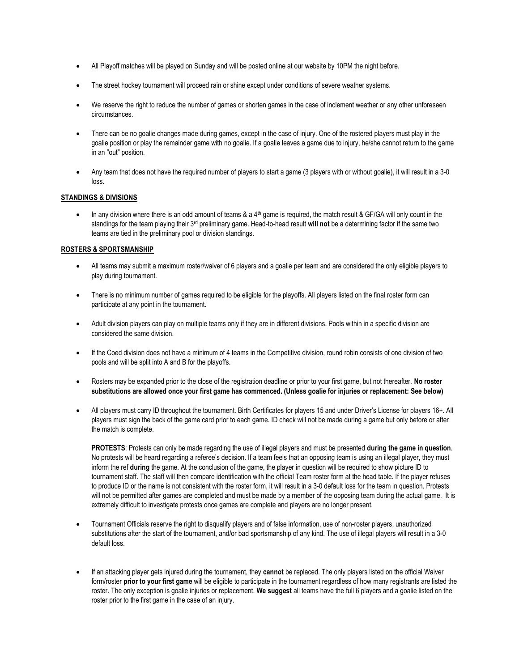- All Playoff matches will be played on Sunday and will be posted online at our website by 10PM the night before.
- The street hockey tournament will proceed rain or shine except under conditions of severe weather systems.
- We reserve the right to reduce the number of games or shorten games in the case of inclement weather or any other unforeseen circumstances.
- There can be no goalie changes made during games, except in the case of injury. One of the rostered players must play in the goalie position or play the remainder game with no goalie. If a goalie leaves a game due to injury, he/she cannot return to the game in an "out" position.
- Any team that does not have the required number of players to start a game (3 players with or without goalie), it will result in a 3-0 loss.

## STANDINGS & DIVISIONS

In any division where there is an odd amount of teams  $\&$  a  $4<sup>th</sup>$  game is required, the match result  $\&$  GF/GA will only count in the standings for the team playing their 3<sup>rd</sup> preliminary game. Head-to-head result will not be a determining factor if the same two teams are tied in the preliminary pool or division standings.

## ROSTERS & SPORTSMANSHIP

- All teams may submit a maximum roster/waiver of 6 players and a goalie per team and are considered the only eligible players to play during tournament.
- There is no minimum number of games required to be eligible for the playoffs. All players listed on the final roster form can participate at any point in the tournament.
- Adult division players can play on multiple teams only if they are in different divisions. Pools within in a specific division are considered the same division.
- If the Coed division does not have a minimum of 4 teams in the Competitive division, round robin consists of one division of two pools and will be split into A and B for the playoffs.
- Rosters may be expanded prior to the close of the registration deadline or prior to your first game, but not thereafter. No roster substitutions are allowed once your first game has commenced. (Unless goalie for injuries or replacement: See below)
- All players must carry ID throughout the tournament. Birth Certificates for players 15 and under Driver's License for players 16+. All players must sign the back of the game card prior to each game. ID check will not be made during a game but only before or after the match is complete.

PROTESTS: Protests can only be made regarding the use of illegal players and must be presented during the game in question. No protests will be heard regarding a referee's decision. If a team feels that an opposing team is using an illegal player, they must inform the ref during the game. At the conclusion of the game, the player in question will be required to show picture ID to tournament staff. The staff will then compare identification with the official Team roster form at the head table. If the player refuses to produce ID or the name is not consistent with the roster form, it will result in a 3-0 default loss for the team in question. Protests will not be permitted after games are completed and must be made by a member of the opposing team during the actual game. It is extremely difficult to investigate protests once games are complete and players are no longer present.

- Tournament Officials reserve the right to disqualify players and of false information, use of non-roster players, unauthorized substitutions after the start of the tournament, and/or bad sportsmanship of any kind. The use of illegal players will result in a 3-0 default loss.
- If an attacking player gets injured during the tournament, they cannot be replaced. The only players listed on the official Waiver form/roster prior to your first game will be eligible to participate in the tournament regardless of how many registrants are listed the roster. The only exception is goalie injuries or replacement. We suggest all teams have the full 6 players and a goalie listed on the roster prior to the first game in the case of an injury.